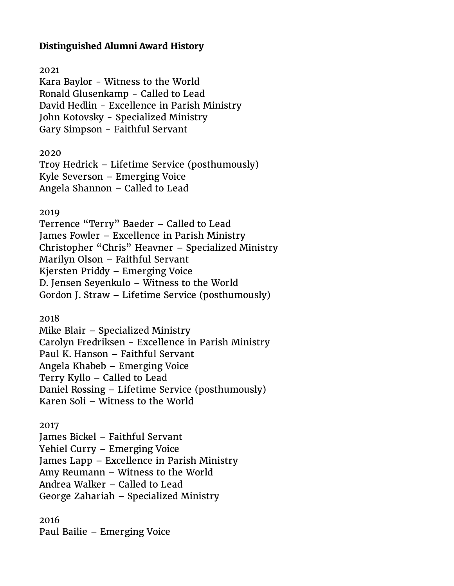# **Distinguished Alumni Award History**

# 2021

Kara Baylor - Witness to the World Ronald Glusenkamp - Called to Lead David Hedlin - Excellence in Parish Ministry John Kotovsky - Specialized Ministry Gary Simpson - Faithful Servant

2020

Troy Hedrick – Lifetime Service (posthumously) Kyle Severson – Emerging Voice Angela Shannon – Called to Lead

2019

Terrence "Terry" Baeder – Called to Lead James Fowler – Excellence in Parish Ministry Christopher "Chris" Heavner – Specialized Ministry Marilyn Olson – Faithful Servant Kjersten Priddy – Emerging Voice D. Jensen Seyenkulo – Witness to the World Gordon J. Straw – Lifetime Service (posthumously)

2018

Mike Blair – Specialized Ministry Carolyn Fredriksen - Excellence in Parish Ministry Paul K. Hanson – Faithful Servant Angela Khabeb – Emerging Voice Terry Kyllo – Called to Lead Daniel Rossing – Lifetime Service (posthumously) Karen Soli – Witness to the World

2017

James Bickel – Faithful Servant Yehiel Curry – Emerging Voice James Lapp – Excellence in Parish Ministry Amy Reumann – Witness to the World Andrea Walker – Called to Lead George Zahariah – Specialized Ministry

2016 Paul Bailie – Emerging Voice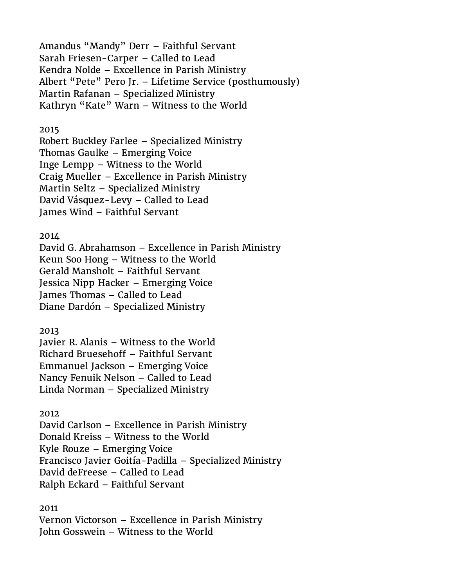Amandus "Mandy" Derr – Faithful Servant Sarah Friesen-Carper – Called to Lead Kendra Nolde – Excellence in Parish Ministry Albert "Pete" Pero Jr. – Lifetime Service (posthumously) Martin Rafanan – Specialized Ministry Kathryn "Kate" Warn – Witness to the World

## 2015

Robert Buckley Farlee – Specialized Ministry Thomas Gaulke – Emerging Voice Inge Lempp – Witness to the World Craig Mueller – Excellence in Parish Ministry Martin Seltz – Specialized Ministry David Vásquez-Levy – Called to Lead James Wind – Faithful Servant

## 2014

David G. Abrahamson – Excellence in Parish Ministry Keun Soo Hong – Witness to the World Gerald Mansholt – Faithful Servant Jessica Nipp Hacker – Emerging Voice James Thomas – Called to Lead Diane Dardón – Specialized Ministry

2013

Javier R. Alanis – Witness to the World Richard Bruesehoff – Faithful Servant Emmanuel Jackson – Emerging Voice Nancy Fenuik Nelson – Called to Lead Linda Norman – Specialized Ministry

#### 2012

David Carlson – Excellence in Parish Ministry Donald Kreiss – Witness to the World Kyle Rouze – Emerging Voice Francisco Javier Goitía-Padilla – Specialized Ministry David deFreese – Called to Lead Ralph Eckard – Faithful Servant

## 2011

Vernon Victorson – Excellence in Parish Ministry John Gosswein – Witness to the World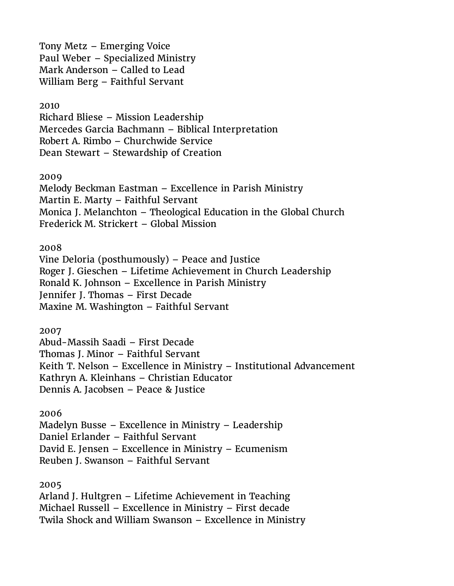Tony Metz – Emerging Voice Paul Weber – Specialized Ministry Mark Anderson – Called to Lead William Berg – Faithful Servant

## 2010

Richard Bliese – Mission Leadership Mercedes Garcia Bachmann – Biblical Interpretation Robert A. Rimbo – Churchwide Service Dean Stewart – Stewardship of Creation

2009

Melody Beckman Eastman – Excellence in Parish Ministry Martin E. Marty – Faithful Servant Monica J. Melanchton – Theological Education in the Global Church Frederick M. Strickert – Global Mission

# 2008

Vine Deloria (posthumously) – Peace and Justice Roger J. Gieschen – Lifetime Achievement in Church Leadership Ronald K. Johnson – Excellence in Parish Ministry Jennifer J. Thomas – First Decade Maxine M. Washington – Faithful Servant

2007

Abud-Massih Saadi – First Decade Thomas J. Minor – Faithful Servant Keith T. Nelson – Excellence in Ministry – Institutional Advancement Kathryn A. Kleinhans – Christian Educator Dennis A. Jacobsen – Peace & Justice

# 2006

Madelyn Busse – Excellence in Ministry – Leadership Daniel Erlander – Faithful Servant David E. Jensen – Excellence in Ministry – Ecumenism Reuben J. Swanson – Faithful Servant

2005

Arland J. Hultgren – Lifetime Achievement in Teaching Michael Russell – Excellence in Ministry – First decade Twila Shock and William Swanson – Excellence in Ministry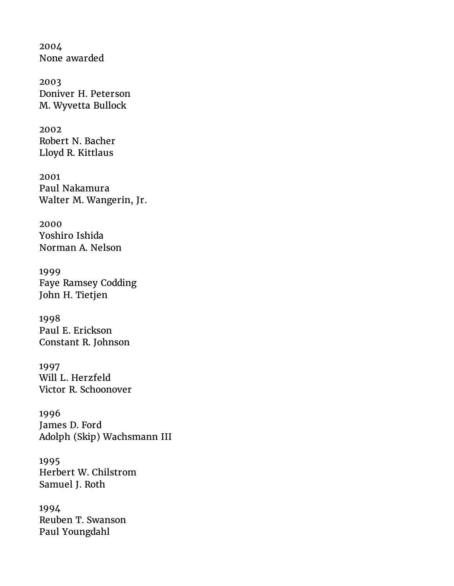2004 None awarded

2003 Doniver H. Peterson M. Wyvetta Bullock

2002 Robert N. Bacher Lloyd R. Kittlaus

2001 Paul Nakamura Walter M. Wangerin, Jr.

2000 Yoshiro Ishida Norman A. Nelson

1999 Faye Ramsey Codding John H. Tietjen

1998 Paul E. Erickson Constant R. Johnson

1997 Will L. Herzfeld Victor R. Schoonover

1996 James D. Ford Adolph (Skip) Wachsmann III

1995 Herbert W. Chilstrom Samuel J. Roth

1994 Reuben T. Swanson Paul Youngdahl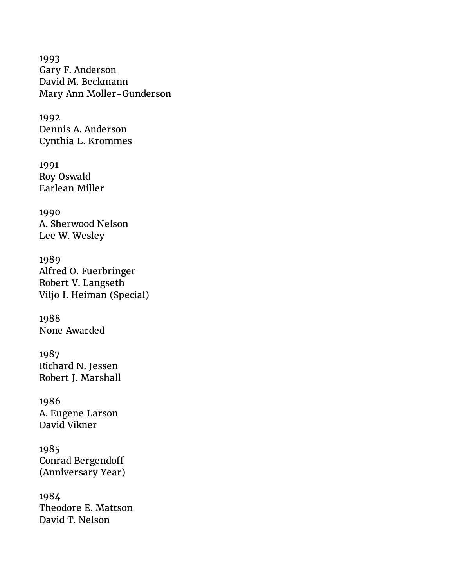1993 Gary F. Anderson David M. Beckmann Mary Ann Moller-Gunderson

1992 Dennis A. Anderson Cynthia L. Krommes

1991 Roy Oswald Earlean Miller

1990 A. Sherwood Nelson Lee W. Wesley

1989 Alfred O. Fuerbringer Robert V. Langseth Viljo I. Heiman (Special)

1988 None Awarded

1987 Richard N. Jessen Robert J. Marshall

1986 A. Eugene Larson David Vikner

1985 Conrad Bergendoff (Anniversary Year)

1984 Theodore E. Mattson David T. Nelson